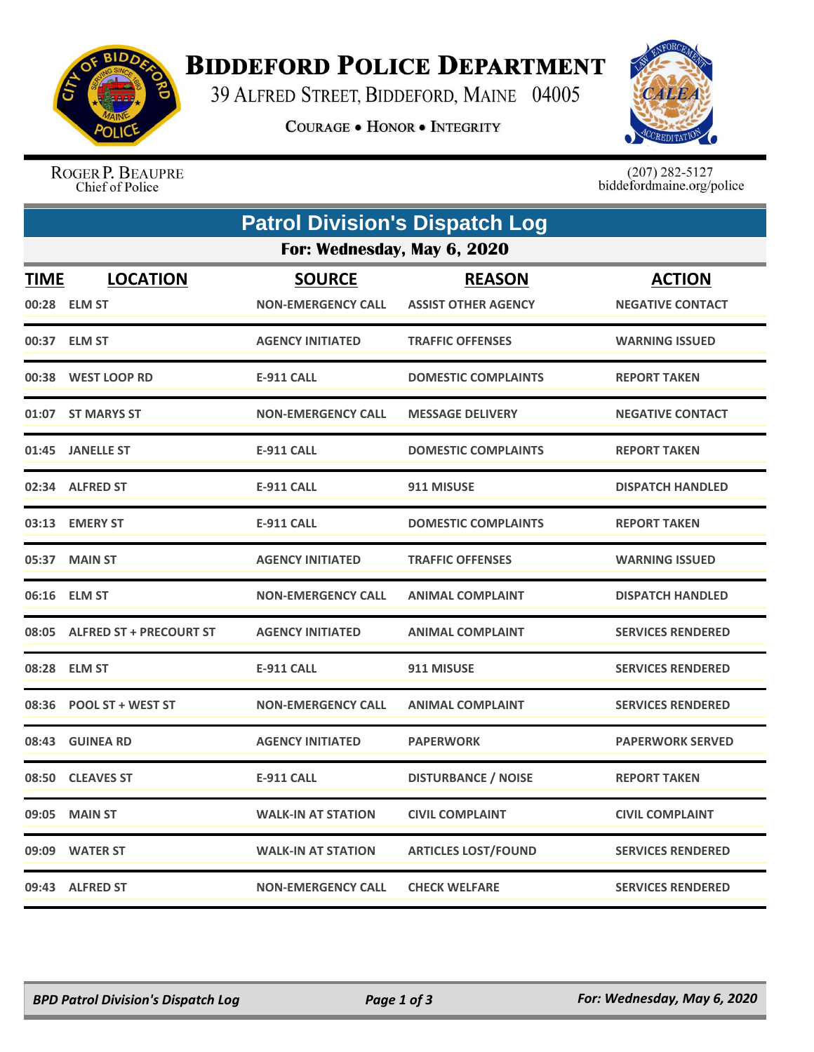

## **BIDDEFORD POLICE DEPARTMENT**

39 ALFRED STREET, BIDDEFORD, MAINE 04005

**COURAGE . HONOR . INTEGRITY** 



ROGER P. BEAUPRE Chief of Police

 $(207)$  282-5127<br>biddefordmaine.org/police

|                             | <b>Patrol Division's Dispatch Log</b> |                           |                            |                          |  |  |  |
|-----------------------------|---------------------------------------|---------------------------|----------------------------|--------------------------|--|--|--|
| For: Wednesday, May 6, 2020 |                                       |                           |                            |                          |  |  |  |
| <b>TIME</b>                 | <b>LOCATION</b>                       | <b>SOURCE</b>             | <b>REASON</b>              | <b>ACTION</b>            |  |  |  |
|                             | 00:28 ELM ST                          | <b>NON-EMERGENCY CALL</b> | <b>ASSIST OTHER AGENCY</b> | <b>NEGATIVE CONTACT</b>  |  |  |  |
| 00:37                       | <b>ELM ST</b>                         | <b>AGENCY INITIATED</b>   | <b>TRAFFIC OFFENSES</b>    | <b>WARNING ISSUED</b>    |  |  |  |
| 00:38                       | <b>WEST LOOP RD</b>                   | <b>E-911 CALL</b>         | <b>DOMESTIC COMPLAINTS</b> | <b>REPORT TAKEN</b>      |  |  |  |
| 01:07                       | <b>ST MARYS ST</b>                    | <b>NON-EMERGENCY CALL</b> | <b>MESSAGE DELIVERY</b>    | <b>NEGATIVE CONTACT</b>  |  |  |  |
| 01:45                       | <b>JANELLE ST</b>                     | <b>E-911 CALL</b>         | <b>DOMESTIC COMPLAINTS</b> | <b>REPORT TAKEN</b>      |  |  |  |
| 02:34                       | <b>ALFRED ST</b>                      | <b>E-911 CALL</b>         | 911 MISUSE                 | <b>DISPATCH HANDLED</b>  |  |  |  |
| 03:13                       | <b>EMERY ST</b>                       | <b>E-911 CALL</b>         | <b>DOMESTIC COMPLAINTS</b> | <b>REPORT TAKEN</b>      |  |  |  |
| 05:37                       | <b>MAIN ST</b>                        | <b>AGENCY INITIATED</b>   | <b>TRAFFIC OFFENSES</b>    | <b>WARNING ISSUED</b>    |  |  |  |
| 06:16                       | <b>ELM ST</b>                         | <b>NON-EMERGENCY CALL</b> | <b>ANIMAL COMPLAINT</b>    | <b>DISPATCH HANDLED</b>  |  |  |  |
| 08:05                       | <b>ALFRED ST + PRECOURT ST</b>        | <b>AGENCY INITIATED</b>   | <b>ANIMAL COMPLAINT</b>    | <b>SERVICES RENDERED</b> |  |  |  |
| 08:28                       | <b>ELM ST</b>                         | <b>E-911 CALL</b>         | 911 MISUSE                 | <b>SERVICES RENDERED</b> |  |  |  |
| 08:36                       | <b>POOL ST + WEST ST</b>              | <b>NON-EMERGENCY CALL</b> | <b>ANIMAL COMPLAINT</b>    | <b>SERVICES RENDERED</b> |  |  |  |
| 08:43                       | <b>GUINEA RD</b>                      | <b>AGENCY INITIATED</b>   | <b>PAPERWORK</b>           | <b>PAPERWORK SERVED</b>  |  |  |  |
| 08:50                       | <b>CLEAVES ST</b>                     | <b>E-911 CALL</b>         | <b>DISTURBANCE / NOISE</b> | <b>REPORT TAKEN</b>      |  |  |  |
| 09:05                       | <b>MAIN ST</b>                        | <b>WALK-IN AT STATION</b> | <b>CIVIL COMPLAINT</b>     | <b>CIVIL COMPLAINT</b>   |  |  |  |
| 09:09                       | <b>WATER ST</b>                       | <b>WALK-IN AT STATION</b> | <b>ARTICLES LOST/FOUND</b> | <b>SERVICES RENDERED</b> |  |  |  |
|                             | 09:43 ALFRED ST                       | <b>NON-EMERGENCY CALL</b> | <b>CHECK WELFARE</b>       | <b>SERVICES RENDERED</b> |  |  |  |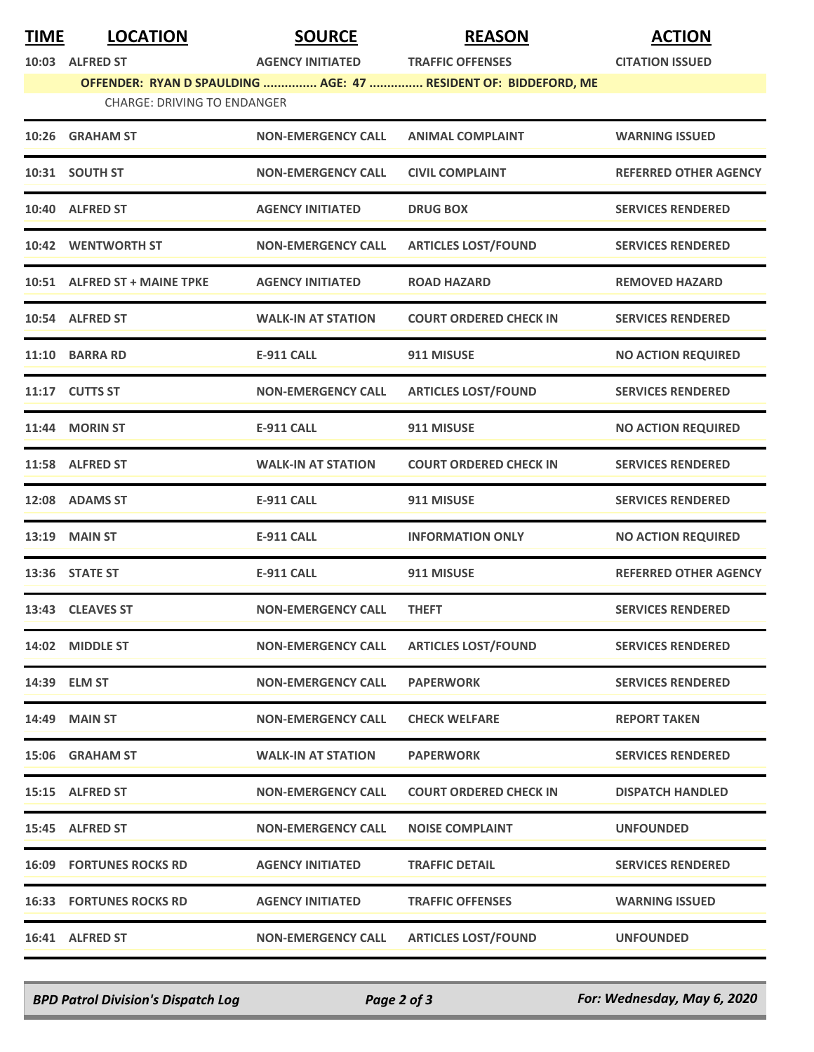| <b>TIME</b> | <b>LOCATION</b>                    | <b>SOURCE</b>             | <b>REASON</b>                                                                              | <b>ACTION</b>                |
|-------------|------------------------------------|---------------------------|--------------------------------------------------------------------------------------------|------------------------------|
|             | 10:03 ALFRED ST                    | <b>AGENCY INITIATED</b>   | <b>TRAFFIC OFFENSES</b><br>OFFENDER: RYAN D SPAULDING  AGE: 47  RESIDENT OF: BIDDEFORD, ME | <b>CITATION ISSUED</b>       |
|             | <b>CHARGE: DRIVING TO ENDANGER</b> |                           |                                                                                            |                              |
| 10:26       | <b>GRAHAM ST</b>                   | <b>NON-EMERGENCY CALL</b> | <b>ANIMAL COMPLAINT</b>                                                                    | <b>WARNING ISSUED</b>        |
|             | 10:31 SOUTH ST                     | <b>NON-EMERGENCY CALL</b> | <b>CIVIL COMPLAINT</b>                                                                     | <b>REFERRED OTHER AGENCY</b> |
|             | 10:40 ALFRED ST                    | <b>AGENCY INITIATED</b>   | <b>DRUG BOX</b>                                                                            | <b>SERVICES RENDERED</b>     |
|             | 10:42 WENTWORTH ST                 | <b>NON-EMERGENCY CALL</b> | <b>ARTICLES LOST/FOUND</b>                                                                 | <b>SERVICES RENDERED</b>     |
|             | 10:51 ALFRED ST + MAINE TPKE       | <b>AGENCY INITIATED</b>   | <b>ROAD HAZARD</b>                                                                         | <b>REMOVED HAZARD</b>        |
|             | 10:54 ALFRED ST                    | <b>WALK-IN AT STATION</b> | <b>COURT ORDERED CHECK IN</b>                                                              | <b>SERVICES RENDERED</b>     |
|             | 11:10 BARRA RD                     | <b>E-911 CALL</b>         | 911 MISUSE                                                                                 | <b>NO ACTION REQUIRED</b>    |
|             | 11:17 CUTTS ST                     | <b>NON-EMERGENCY CALL</b> | <b>ARTICLES LOST/FOUND</b>                                                                 | <b>SERVICES RENDERED</b>     |
|             | 11:44 MORIN ST                     | <b>E-911 CALL</b>         | 911 MISUSE                                                                                 | <b>NO ACTION REQUIRED</b>    |
|             | 11:58 ALFRED ST                    | <b>WALK-IN AT STATION</b> | <b>COURT ORDERED CHECK IN</b>                                                              | <b>SERVICES RENDERED</b>     |
|             | 12:08 ADAMS ST                     | <b>E-911 CALL</b>         | 911 MISUSE                                                                                 | <b>SERVICES RENDERED</b>     |
|             | <b>13:19 MAIN ST</b>               | <b>E-911 CALL</b>         | <b>INFORMATION ONLY</b>                                                                    | <b>NO ACTION REQUIRED</b>    |
|             | 13:36 STATE ST                     | <b>E-911 CALL</b>         | 911 MISUSE                                                                                 | <b>REFERRED OTHER AGENCY</b> |
|             | 13:43 CLEAVES ST                   | <b>NON-EMERGENCY CALL</b> | <b>THEFT</b>                                                                               | <b>SERVICES RENDERED</b>     |
|             | 14:02 MIDDLE ST                    | <b>NON-EMERGENCY CALL</b> | <b>ARTICLES LOST/FOUND</b>                                                                 | <b>SERVICES RENDERED</b>     |
|             | 14:39 ELM ST                       | <b>NON-EMERGENCY CALL</b> | <b>PAPERWORK</b>                                                                           | <b>SERVICES RENDERED</b>     |
|             | <b>14:49 MAIN ST</b>               | <b>NON-EMERGENCY CALL</b> | <b>CHECK WELFARE</b>                                                                       | <b>REPORT TAKEN</b>          |
|             | 15:06 GRAHAM ST                    | <b>WALK-IN AT STATION</b> | <b>PAPERWORK</b>                                                                           | <b>SERVICES RENDERED</b>     |
|             | 15:15 ALFRED ST                    | <b>NON-EMERGENCY CALL</b> | <b>COURT ORDERED CHECK IN</b>                                                              | <b>DISPATCH HANDLED</b>      |
|             | 15:45 ALFRED ST                    | <b>NON-EMERGENCY CALL</b> | <b>NOISE COMPLAINT</b>                                                                     | <b>UNFOUNDED</b>             |
|             | <b>16:09 FORTUNES ROCKS RD</b>     | <b>AGENCY INITIATED</b>   | <b>TRAFFIC DETAIL</b>                                                                      | <b>SERVICES RENDERED</b>     |
|             | <b>16:33 FORTUNES ROCKS RD</b>     | <b>AGENCY INITIATED</b>   | <b>TRAFFIC OFFENSES</b>                                                                    | <b>WARNING ISSUED</b>        |
|             | 16:41 ALFRED ST                    | <b>NON-EMERGENCY CALL</b> | <b>ARTICLES LOST/FOUND</b>                                                                 | <b>UNFOUNDED</b>             |
|             |                                    |                           |                                                                                            |                              |

*BPD Patrol Division's Dispatch Log Page 2 of 3 For: Wednesday, May 6, 2020*